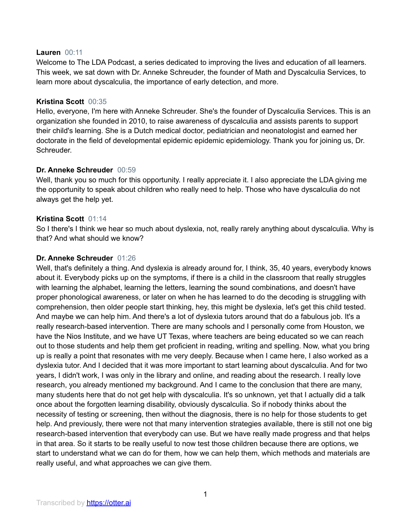#### **Lauren** 00:11

Welcome to The LDA Podcast, a series dedicated to improving the lives and education of all learners. This week, we sat down with Dr. Anneke Schreuder, the founder of Math and Dyscalculia Services, to learn more about dyscalculia, the importance of early detection, and more.

#### **Kristina Scott** 00:35

Hello, everyone, I'm here with Anneke Schreuder. She's the founder of Dyscalculia Services. This is an organization she founded in 2010, to raise awareness of dyscalculia and assists parents to support their child's learning. She is a Dutch medical doctor, pediatrician and neonatologist and earned her doctorate in the field of developmental epidemic epidemic epidemiology. Thank you for joining us, Dr. Schreuder.

## **Dr. Anneke Schreuder** 00:59

Well, thank you so much for this opportunity. I really appreciate it. I also appreciate the LDA giving me the opportunity to speak about children who really need to help. Those who have dyscalculia do not always get the help yet.

## **Kristina Scott** 01:14

So I there's I think we hear so much about dyslexia, not, really rarely anything about dyscalculia. Why is that? And what should we know?

#### **Dr. Anneke Schreuder** 01:26

Well, that's definitely a thing. And dyslexia is already around for, I think, 35, 40 years, everybody knows about it. Everybody picks up on the symptoms, if there is a child in the classroom that really struggles with learning the alphabet, learning the letters, learning the sound combinations, and doesn't have proper phonological awareness, or later on when he has learned to do the decoding is struggling with comprehension, then older people start thinking, hey, this might be dyslexia, let's get this child tested. And maybe we can help him. And there's a lot of dyslexia tutors around that do a fabulous job. It's a really research-based intervention. There are many schools and I personally come from Houston, we have the Nios Institute, and we have UT Texas, where teachers are being educated so we can reach out to those students and help them get proficient in reading, writing and spelling. Now, what you bring up is really a point that resonates with me very deeply. Because when I came here, I also worked as a dyslexia tutor. And I decided that it was more important to start learning about dyscalculia. And for two years, I didn't work, I was only in the library and online, and reading about the research. I really love research, you already mentioned my background. And I came to the conclusion that there are many, many students here that do not get help with dyscalculia. It's so unknown, yet that I actually did a talk once about the forgotten learning disability, obviously dyscalculia. So if nobody thinks about the necessity of testing or screening, then without the diagnosis, there is no help for those students to get help. And previously, there were not that many intervention strategies available, there is still not one big research-based intervention that everybody can use. But we have really made progress and that helps in that area. So it starts to be really useful to now test those children because there are options, we start to understand what we can do for them, how we can help them, which methods and materials are really useful, and what approaches we can give them.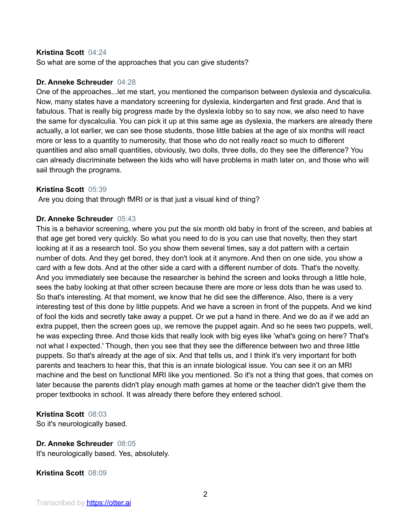#### **Kristina Scott** 04:24

So what are some of the approaches that you can give students?

#### **Dr. Anneke Schreuder** 04:28

One of the approaches...let me start, you mentioned the comparison between dyslexia and dyscalculia. Now, many states have a mandatory screening for dyslexia, kindergarten and first grade. And that is fabulous. That is really big progress made by the dyslexia lobby so to say now, we also need to have the same for dyscalculia. You can pick it up at this same age as dyslexia, the markers are already there actually, a lot earlier, we can see those students, those little babies at the age of six months will react more or less to a quantity to numerosity, that those who do not really react so much to different quantities and also small quantities, obviously, two dolls, three dolls, do they see the difference? You can already discriminate between the kids who will have problems in math later on, and those who will sail through the programs.

#### **Kristina Scott** 05:39

Are you doing that through fMRI or is that just a visual kind of thing?

#### **Dr. Anneke Schreuder** 05:43

This is a behavior screening, where you put the six month old baby in front of the screen, and babies at that age get bored very quickly. So what you need to do is you can use that novelty, then they start looking at it as a research tool. So you show them several times, say a dot pattern with a certain number of dots. And they get bored, they don't look at it anymore. And then on one side, you show a card with a few dots. And at the other side a card with a different number of dots. That's the novelty. And you immediately see because the researcher is behind the screen and looks through a little hole, sees the baby looking at that other screen because there are more or less dots than he was used to. So that's interesting. At that moment, we know that he did see the difference. Also, there is a very interesting test of this done by little puppets. And we have a screen in front of the puppets. And we kind of fool the kids and secretly take away a puppet. Or we put a hand in there. And we do as if we add an extra puppet, then the screen goes up, we remove the puppet again. And so he sees two puppets, well, he was expecting three. And those kids that really look with big eyes like 'what's going on here? That's not what I expected.' Though, then you see that they see the difference between two and three little puppets. So that's already at the age of six. And that tells us, and I think it's very important for both parents and teachers to hear this, that this is an innate biological issue. You can see it on an MRI machine and the best on functional MRI like you mentioned. So it's not a thing that goes, that comes on later because the parents didn't play enough math games at home or the teacher didn't give them the proper textbooks in school. It was already there before they entered school.

#### **Kristina Scott** 08:03

So it's neurologically based.

# **Dr. Anneke Schreuder** 08:05

It's neurologically based. Yes, absolutely.

#### **Kristina Scott** 08:09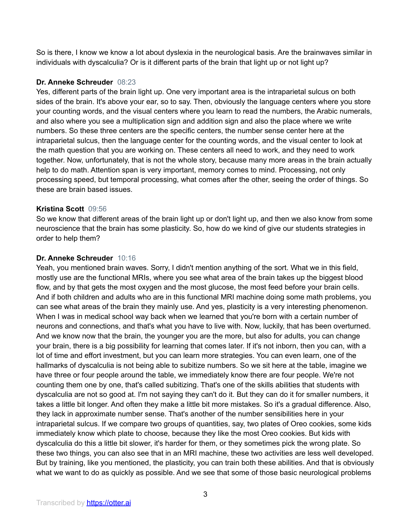So is there, I know we know a lot about dyslexia in the neurological basis. Are the brainwaves similar in individuals with dyscalculia? Or is it different parts of the brain that light up or not light up?

# **Dr. Anneke Schreuder** 08:23

Yes, different parts of the brain light up. One very important area is the intraparietal sulcus on both sides of the brain. It's above your ear, so to say. Then, obviously the language centers where you store your counting words, and the visual centers where you learn to read the numbers, the Arabic numerals, and also where you see a multiplication sign and addition sign and also the place where we write numbers. So these three centers are the specific centers, the number sense center here at the intraparietal sulcus, then the language center for the counting words, and the visual center to look at the math question that you are working on. These centers all need to work, and they need to work together. Now, unfortunately, that is not the whole story, because many more areas in the brain actually help to do math. Attention span is very important, memory comes to mind. Processing, not only processing speed, but temporal processing, what comes after the other, seeing the order of things. So these are brain based issues.

## **Kristina Scott** 09:56

So we know that different areas of the brain light up or don't light up, and then we also know from some neuroscience that the brain has some plasticity. So, how do we kind of give our students strategies in order to help them?

# **Dr. Anneke Schreuder** 10:16

Yeah, you mentioned brain waves. Sorry, I didn't mention anything of the sort. What we in this field, mostly use are the functional MRIs, where you see what area of the brain takes up the biggest blood flow, and by that gets the most oxygen and the most glucose, the most feed before your brain cells. And if both children and adults who are in this functional MRI machine doing some math problems, you can see what areas of the brain they mainly use. And yes, plasticity is a very interesting phenomenon. When I was in medical school way back when we learned that you're born with a certain number of neurons and connections, and that's what you have to live with. Now, luckily, that has been overturned. And we know now that the brain, the younger you are the more, but also for adults, you can change your brain, there is a big possibility for learning that comes later. If it's not inborn, then you can, with a lot of time and effort investment, but you can learn more strategies. You can even learn, one of the hallmarks of dyscalculia is not being able to subitize numbers. So we sit here at the table, imagine we have three or four people around the table, we immediately know there are four people. We're not counting them one by one, that's called subitizing. That's one of the skills abilities that students with dyscalculia are not so good at. I'm not saying they can't do it. But they can do it for smaller numbers, it takes a little bit longer. And often they make a little bit more mistakes. So it's a gradual difference. Also, they lack in approximate number sense. That's another of the number sensibilities here in your intraparietal sulcus. If we compare two groups of quantities, say, two plates of Oreo cookies, some kids immediately know which plate to choose, because they like the most Oreo cookies. But kids with dyscalculia do this a little bit slower, it's harder for them, or they sometimes pick the wrong plate. So these two things, you can also see that in an MRI machine, these two activities are less well developed. But by training, like you mentioned, the plasticity, you can train both these abilities. And that is obviously what we want to do as quickly as possible. And we see that some of those basic neurological problems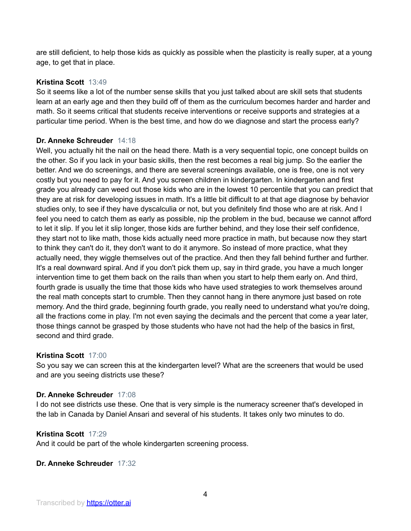are still deficient, to help those kids as quickly as possible when the plasticity is really super, at a young age, to get that in place.

## **Kristina Scott** 13:49

So it seems like a lot of the number sense skills that you just talked about are skill sets that students learn at an early age and then they build off of them as the curriculum becomes harder and harder and math. So it seems critical that students receive interventions or receive supports and strategies at a particular time period. When is the best time, and how do we diagnose and start the process early?

## **Dr. Anneke Schreuder** 14:18

Well, you actually hit the nail on the head there. Math is a very sequential topic, one concept builds on the other. So if you lack in your basic skills, then the rest becomes a real big jump. So the earlier the better. And we do screenings, and there are several screenings available, one is free, one is not very costly but you need to pay for it. And you screen children in kindergarten. In kindergarten and first grade you already can weed out those kids who are in the lowest 10 percentile that you can predict that they are at risk for developing issues in math. It's a little bit difficult to at that age diagnose by behavior studies only, to see if they have dyscalculia or not, but you definitely find those who are at risk. And I feel you need to catch them as early as possible, nip the problem in the bud, because we cannot afford to let it slip. If you let it slip longer, those kids are further behind, and they lose their self confidence, they start not to like math, those kids actually need more practice in math, but because now they start to think they can't do it, they don't want to do it anymore. So instead of more practice, what they actually need, they wiggle themselves out of the practice. And then they fall behind further and further. It's a real downward spiral. And if you don't pick them up, say in third grade, you have a much longer intervention time to get them back on the rails than when you start to help them early on. And third, fourth grade is usually the time that those kids who have used strategies to work themselves around the real math concepts start to crumble. Then they cannot hang in there anymore just based on rote memory. And the third grade, beginning fourth grade, you really need to understand what you're doing, all the fractions come in play. I'm not even saying the decimals and the percent that come a year later, those things cannot be grasped by those students who have not had the help of the basics in first, second and third grade.

## **Kristina Scott** 17:00

So you say we can screen this at the kindergarten level? What are the screeners that would be used and are you seeing districts use these?

# **Dr. Anneke Schreuder** 17:08

I do not see districts use these. One that is very simple is the numeracy screener that's developed in the lab in Canada by Daniel Ansari and several of his students. It takes only two minutes to do.

## **Kristina Scott** 17:29

And it could be part of the whole kindergarten screening process.

**Dr. Anneke Schreuder** 17:32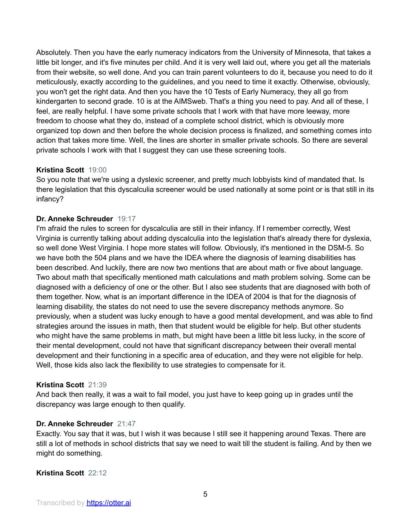Absolutely. Then you have the early numeracy indicators from the University of Minnesota, that takes a little bit longer, and it's five minutes per child. And it is very well laid out, where you get all the materials from their website, so well done. And you can train parent volunteers to do it, because you need to do it meticulously, exactly according to the guidelines, and you need to time it exactly. Otherwise, obviously, you won't get the right data. And then you have the 10 Tests of Early Numeracy, they all go from kindergarten to second grade. 10 is at the AIMSweb. That's a thing you need to pay. And all of these, I feel, are really helpful. I have some private schools that I work with that have more leeway, more freedom to choose what they do, instead of a complete school district, which is obviously more organized top down and then before the whole decision process is finalized, and something comes into action that takes more time. Well, the lines are shorter in smaller private schools. So there are several private schools I work with that I suggest they can use these screening tools.

# **Kristina Scott** 19:00

So you note that we're using a dyslexic screener, and pretty much lobbyists kind of mandated that. Is there legislation that this dyscalculia screener would be used nationally at some point or is that still in its infancy?

# **Dr. Anneke Schreuder** 19:17

I'm afraid the rules to screen for dyscalculia are still in their infancy. If I remember correctly, West Virginia is currently talking about adding dyscalculia into the legislation that's already there for dyslexia, so well done West Virginia. I hope more states will follow. Obviously, it's mentioned in the DSM-5. So we have both the 504 plans and we have the IDEA where the diagnosis of learning disabilities has been described. And luckily, there are now two mentions that are about math or five about language. Two about math that specifically mentioned math calculations and math problem solving. Some can be diagnosed with a deficiency of one or the other. But I also see students that are diagnosed with both of them together. Now, what is an important difference in the IDEA of 2004 is that for the diagnosis of learning disability, the states do not need to use the severe discrepancy methods anymore. So previously, when a student was lucky enough to have a good mental development, and was able to find strategies around the issues in math, then that student would be eligible for help. But other students who might have the same problems in math, but might have been a little bit less lucky, in the score of their mental development, could not have that significant discrepancy between their overall mental development and their functioning in a specific area of education, and they were not eligible for help. Well, those kids also lack the flexibility to use strategies to compensate for it.

# **Kristina Scott** 21:39

And back then really, it was a wait to fail model, you just have to keep going up in grades until the discrepancy was large enough to then qualify.

# **Dr. Anneke Schreuder** 21:47

Exactly. You say that it was, but I wish it was because I still see it happening around Texas. There are still a lot of methods in school districts that say we need to wait till the student is failing. And by then we might do something.

## **Kristina Scott** 22:12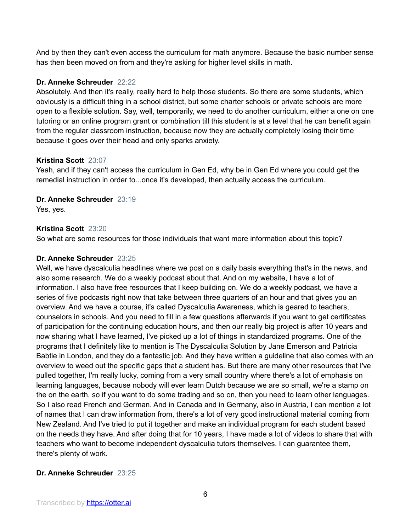And by then they can't even access the curriculum for math anymore. Because the basic number sense has then been moved on from and they're asking for higher level skills in math.

# **Dr. Anneke Schreuder** 22:22

Absolutely. And then it's really, really hard to help those students. So there are some students, which obviously is a difficult thing in a school district, but some charter schools or private schools are more open to a flexible solution. Say, well, temporarily, we need to do another curriculum, either a one on one tutoring or an online program grant or combination till this student is at a level that he can benefit again from the regular classroom instruction, because now they are actually completely losing their time because it goes over their head and only sparks anxiety.

## **Kristina Scott** 23:07

Yeah, and if they can't access the curriculum in Gen Ed, why be in Gen Ed where you could get the remedial instruction in order to...once it's developed, then actually access the curriculum.

# **Dr. Anneke Schreuder** 23:19

Yes, yes.

# **Kristina Scott** 23:20

So what are some resources for those individuals that want more information about this topic?

# **Dr. Anneke Schreuder** 23:25

Well, we have dyscalculia headlines where we post on a daily basis everything that's in the news, and also some research. We do a weekly podcast about that. And on my website, I have a lot of information. I also have free resources that I keep building on. We do a weekly podcast, we have a series of five podcasts right now that take between three quarters of an hour and that gives you an overview. And we have a course, it's called Dyscalculia Awareness, which is geared to teachers, counselors in schools. And you need to fill in a few questions afterwards if you want to get certificates of participation for the continuing education hours, and then our really big project is after 10 years and now sharing what I have learned, I've picked up a lot of things in standardized programs. One of the programs that I definitely like to mention is The Dyscalculia Solution by Jane Emerson and Patricia Babtie in London, and they do a fantastic job. And they have written a guideline that also comes with an overview to weed out the specific gaps that a student has. But there are many other resources that I've pulled together, I'm really lucky, coming from a very small country where there's a lot of emphasis on learning languages, because nobody will ever learn Dutch because we are so small, we're a stamp on the on the earth, so if you want to do some trading and so on, then you need to learn other languages. So I also read French and German. And in Canada and in Germany, also in Austria, I can mention a lot of names that I can draw information from, there's a lot of very good instructional material coming from New Zealand. And I've tried to put it together and make an individual program for each student based on the needs they have. And after doing that for 10 years, I have made a lot of videos to share that with teachers who want to become independent dyscalculia tutors themselves. I can guarantee them, there's plenty of work.

# **Dr. Anneke Schreuder** 23:25